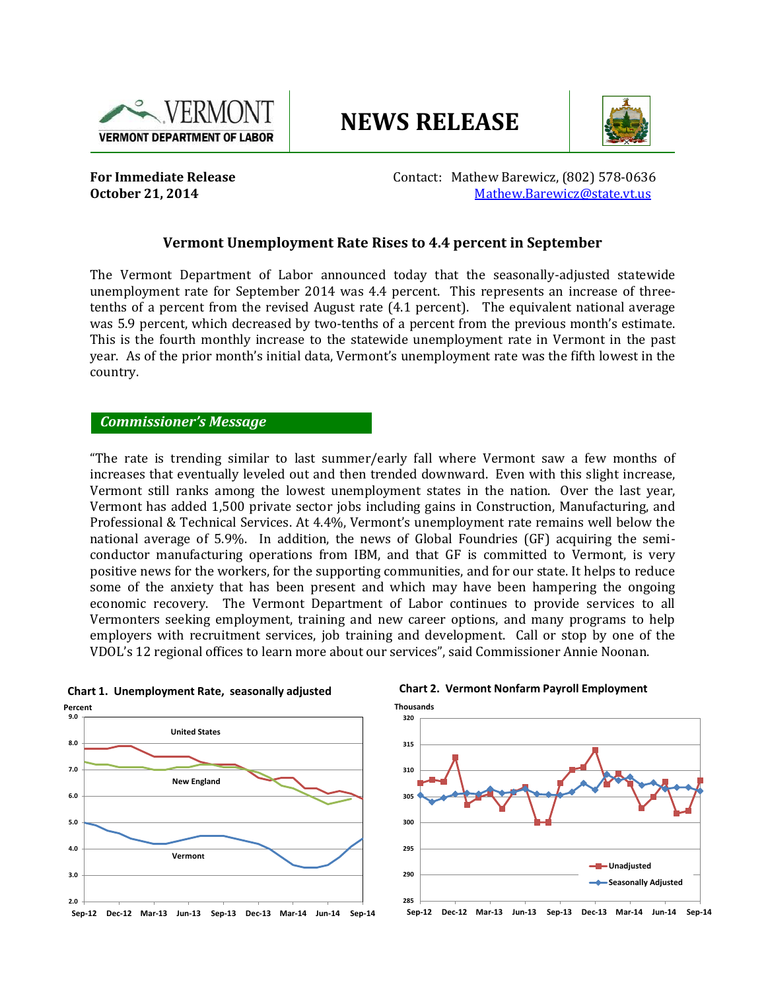

# **NEWS RELEASE**



**For Immediate Release Contact: Mathew Barewicz, (802) 578-0636 October 21, 2014 [Mathew.Barewicz@state.vt.us](file://fpsvr/groups/lmi/Press_Release/newPR/Mathew.Barewicz@state.vt.us)** 

# **Vermont Unemployment Rate Rises to 4.4 percent in September**

The Vermont Department of Labor announced today that the seasonally-adjusted statewide unemployment rate for September 2014 was 4.4 percent. This represents an increase of threetenths of a percent from the revised August rate (4.1 percent). The equivalent national average was 5.9 percent, which decreased by two-tenths of a percent from the previous month's estimate. This is the fourth monthly increase to the statewide unemployment rate in Vermont in the past year. As of the prior month's initial data, Vermont's unemployment rate was the fifth lowest in the country.

#### *Commissioner's Message*

"The rate is trending similar to last summer/early fall where Vermont saw a few months of increases that eventually leveled out and then trended downward. Even with this slight increase, Vermont still ranks among the lowest unemployment states in the nation. Over the last year, Vermont has added 1,500 private sector jobs including gains in Construction, Manufacturing, and Professional & Technical Services. At 4.4%, Vermont's unemployment rate remains well below the national average of 5.9%. In addition, the news of Global Foundries (GF) acquiring the semiconductor manufacturing operations from IBM, and that GF is committed to Vermont, is very positive news for the workers, for the supporting communities, and for our state. It helps to reduce some of the anxiety that has been present and which may have been hampering the ongoing economic recovery. The Vermont Department of Labor continues to provide services to all Vermonters seeking employment, training and new career options, and many programs to help employers with recruitment services, job training and development. Call or stop by one of the VDOL's 12 regional offices to learn more about our services", said Commissioner Annie Noonan.





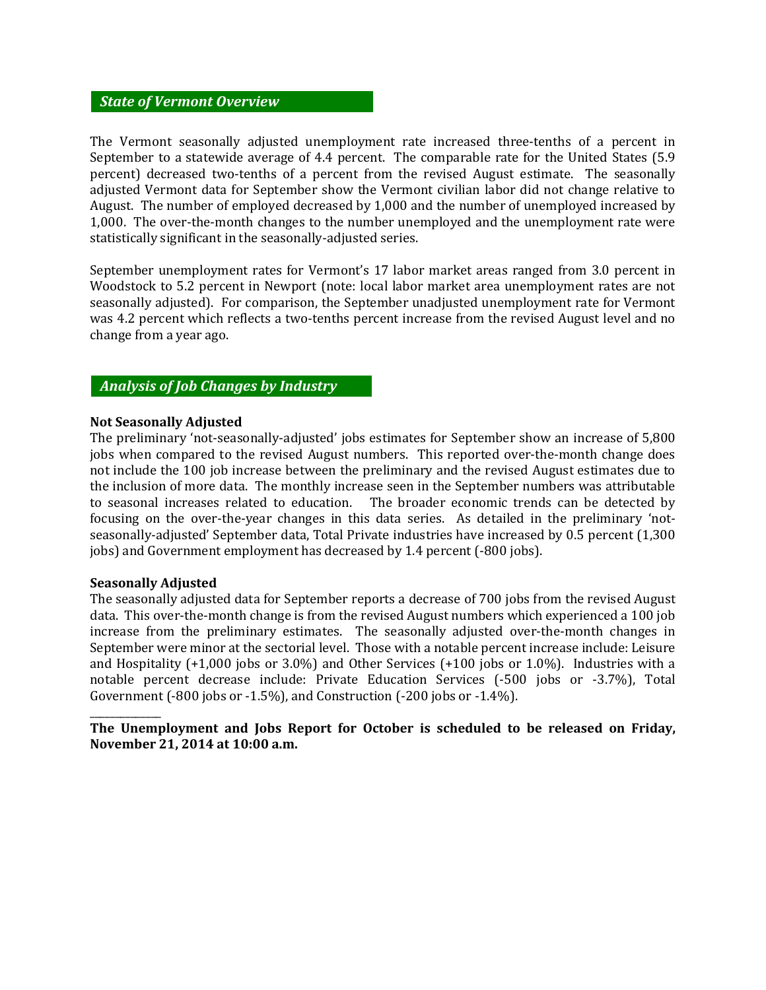### *State of Vermont Overview*

The Vermont seasonally adjusted unemployment rate increased three-tenths of a percent in September to a statewide average of 4.4 percent. The comparable rate for the United States (5.9 percent) decreased two-tenths of a percent from the revised August estimate. The seasonally adjusted Vermont data for September show the Vermont civilian labor did not change relative to August. The number of employed decreased by 1,000 and the number of unemployed increased by 1,000. The over-the-month changes to the number unemployed and the unemployment rate were statistically significant in the seasonally-adjusted series.

September unemployment rates for Vermont's 17 labor market areas ranged from 3.0 percent in Woodstock to 5.2 percent in Newport (note: local labor market area unemployment rates are not seasonally adjusted). For comparison, the September unadjusted unemployment rate for Vermont was 4.2 percent which reflects a two-tenths percent increase from the revised August level and no change from a year ago.

# *Analysis of Job Changes by Industry*

#### **Not Seasonally Adjusted**

The preliminary 'not-seasonally-adjusted' jobs estimates for September show an increase of 5,800 jobs when compared to the revised August numbers. This reported over-the-month change does not include the 100 job increase between the preliminary and the revised August estimates due to the inclusion of more data. The monthly increase seen in the September numbers was attributable to seasonal increases related to education. The broader economic trends can be detected by focusing on the over-the-year changes in this data series. As detailed in the preliminary 'notseasonally-adjusted' September data, Total Private industries have increased by 0.5 percent (1,300 jobs) and Government employment has decreased by 1.4 percent (-800 jobs).

#### **Seasonally Adjusted**

\_\_\_\_\_\_\_\_\_\_\_\_\_\_

The seasonally adjusted data for September reports a decrease of 700 jobs from the revised August data. This over-the-month change is from the revised August numbers which experienced a 100 job increase from the preliminary estimates. The seasonally adjusted over-the-month changes in September were minor at the sectorial level. Those with a notable percent increase include: Leisure and Hospitality (+1,000 jobs or 3.0%) and Other Services (+100 jobs or 1.0%). Industries with a notable percent decrease include: Private Education Services (-500 jobs or -3.7%), Total Government (-800 jobs or -1.5%), and Construction (-200 jobs or -1.4%).

**The Unemployment and Jobs Report for October is scheduled to be released on Friday, November 21, 2014 at 10:00 a.m.**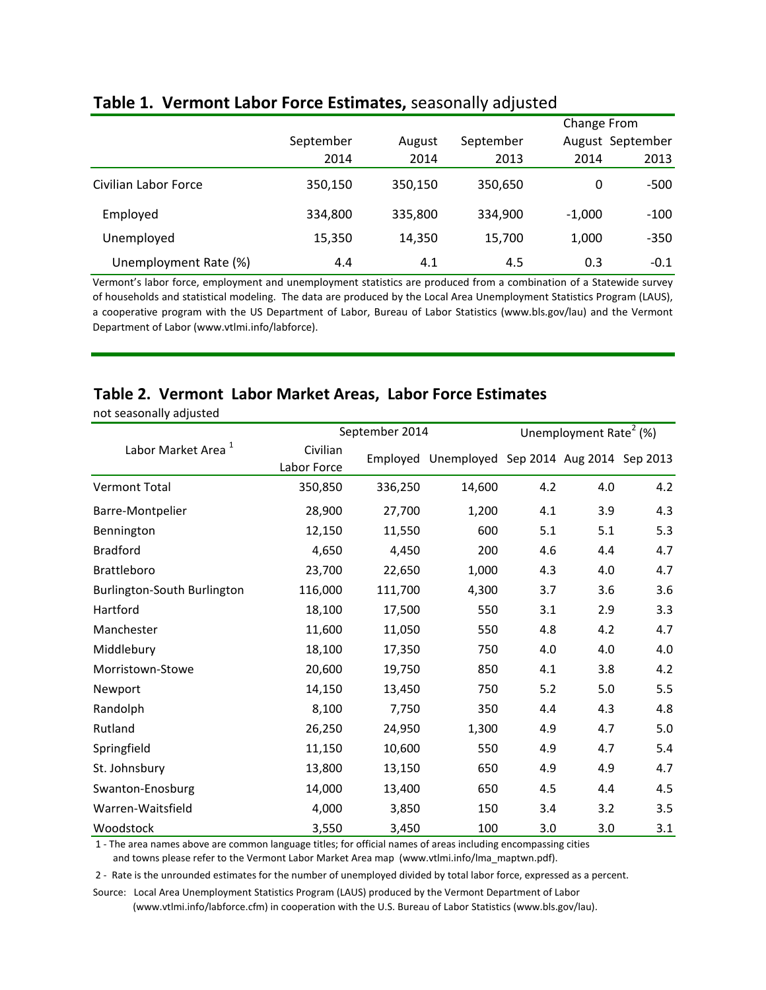|                       |                     |         |           |          | Change From      |  |  |  |
|-----------------------|---------------------|---------|-----------|----------|------------------|--|--|--|
|                       | September<br>August |         | September |          | August September |  |  |  |
|                       | 2014                | 2014    | 2013      | 2014     | 2013             |  |  |  |
| Civilian Labor Force  | 350,150             | 350,150 | 350,650   | $\theta$ | -500             |  |  |  |
| Employed              | 334,800             | 335,800 | 334,900   | $-1.000$ | $-100$           |  |  |  |
| Unemployed            | 15,350              | 14,350  | 15,700    | 1,000    | $-350$           |  |  |  |
| Unemployment Rate (%) | 4.4                 | 4.1     | 4.5       | 0.3      | $-0.1$           |  |  |  |

# **Table 1. Vermont Labor Force Estimates,** seasonally adjusted

Vermont's labor force, employment and unemployment statistics are produced from a combination of a Statewide survey of households and statistical modeling. The data are produced by the Local Area Unemployment Statistics Program (LAUS), a cooperative program with the US Department of Labor, Bureau of Labor Statistics (www.bls.gov/lau) and the Vermont Department of Labor (www.vtlmi.info/labforce).

| Table 2. Vermont Labor Market Areas, Labor Force Estimates<br>not seasonally adjusted |                         |                |                                       |     |     |                                    |  |  |  |
|---------------------------------------------------------------------------------------|-------------------------|----------------|---------------------------------------|-----|-----|------------------------------------|--|--|--|
|                                                                                       |                         | September 2014 |                                       |     |     | Unemployment Rate <sup>2</sup> (%) |  |  |  |
| Labor Market Area <sup>1</sup>                                                        | Civilian<br>Labor Force | Employed       | Unemployed Sep 2014 Aug 2014 Sep 2013 |     |     |                                    |  |  |  |
| Vermont Total                                                                         | 350,850                 | 336,250        | 14,600                                | 4.2 | 4.0 | 4.2                                |  |  |  |
| Barre-Montpelier                                                                      | 28,900                  | 27,700         | 1,200                                 | 4.1 | 3.9 | 4.3                                |  |  |  |
| Bennington                                                                            | 12,150                  | 11,550         | 600                                   | 5.1 | 5.1 | 5.3                                |  |  |  |
| <b>Bradford</b>                                                                       | 4,650                   | 4,450          | 200                                   | 4.6 | 4.4 | 4.7                                |  |  |  |
| <b>Brattleboro</b>                                                                    | 23,700                  | 22,650         | 1,000                                 | 4.3 | 4.0 | 4.7                                |  |  |  |
| Burlington-South Burlington                                                           | 116,000                 | 111,700        | 4,300                                 | 3.7 | 3.6 | 3.6                                |  |  |  |
| Hartford                                                                              | 18,100                  | 17,500         | 550                                   | 3.1 | 2.9 | 3.3                                |  |  |  |
| Manchester                                                                            | 11,600                  | 11,050         | 550                                   | 4.8 | 4.2 | 4.7                                |  |  |  |
| Middlebury                                                                            | 18,100                  | 17,350         | 750                                   | 4.0 | 4.0 | 4.0                                |  |  |  |
| Morristown-Stowe                                                                      | 20,600                  | 19,750         | 850                                   | 4.1 | 3.8 | 4.2                                |  |  |  |
| Newport                                                                               | 14,150                  | 13,450         | 750                                   | 5.2 | 5.0 | 5.5                                |  |  |  |
| Randolph                                                                              | 8,100                   | 7,750          | 350                                   | 4.4 | 4.3 | 4.8                                |  |  |  |
| Rutland                                                                               | 26,250                  | 24,950         | 1,300                                 | 4.9 | 4.7 | 5.0                                |  |  |  |
| Springfield                                                                           | 11,150                  | 10,600         | 550                                   | 4.9 | 4.7 | 5.4                                |  |  |  |
| St. Johnsbury                                                                         | 13,800                  | 13,150         | 650                                   | 4.9 | 4.9 | 4.7                                |  |  |  |

 1 - The area names above are common language titles; for official names of areas including encompassing cities and towns please refer to the Vermont Labor Market Area map (www.vtlmi.info/lma\_maptwn.pdf).

2 - Rate is the unrounded estimates for the number of unemployed divided by total labor force, expressed as a percent.

Swanton-Enosburg 14,000 13,400 650 4.5 4.4 4.5 Warren-Waitsfield 4,000 3,850 150 3.4 3.2 3.5 Woodstock 3,550 3,450 100 3.0 3.0 3.1

Source: Local Area Unemployment Statistics Program (LAUS) produced by the Vermont Department of Labor (www.vtlmi.info/labforce.cfm) in cooperation with the U.S. Bureau of Labor Statistics (www.bls.gov/lau).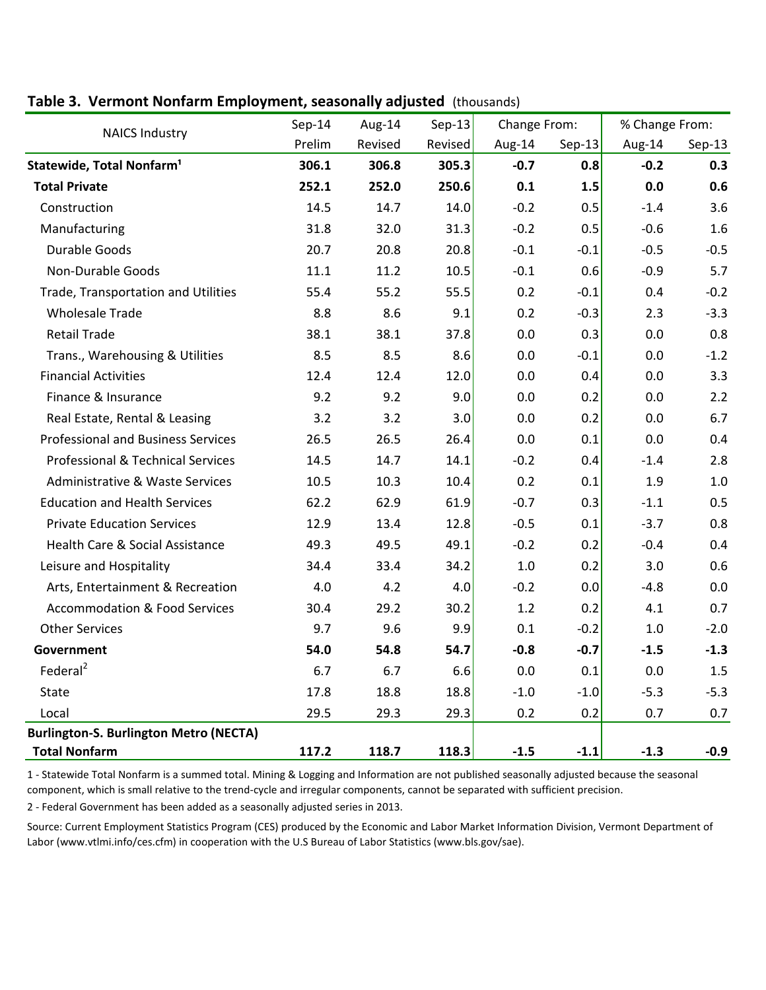# **Table 3. Vermont Nonfarm Employment, seasonally adjusted** (thousands)

| <b>NAICS Industry</b>                         | $Sep-14$ | Aug-14  | $Sep-13$ | Change From: |          | % Change From: |          |  |
|-----------------------------------------------|----------|---------|----------|--------------|----------|----------------|----------|--|
|                                               | Prelim   | Revised | Revised  | Aug-14       | $Sep-13$ | Aug-14         | $Sep-13$ |  |
| Statewide, Total Nonfarm <sup>1</sup>         | 306.1    | 306.8   | 305.3    | $-0.7$       | 0.8      | $-0.2$         | 0.3      |  |
| <b>Total Private</b>                          | 252.1    | 252.0   | 250.6    | 0.1          | 1.5      | 0.0            | 0.6      |  |
| Construction                                  | 14.5     | 14.7    | 14.0     | $-0.2$       | 0.5      | $-1.4$         | 3.6      |  |
| Manufacturing                                 | 31.8     | 32.0    | 31.3     | $-0.2$       | 0.5      | $-0.6$         | 1.6      |  |
| <b>Durable Goods</b>                          | 20.7     | 20.8    | 20.8     | $-0.1$       | $-0.1$   | $-0.5$         | $-0.5$   |  |
| <b>Non-Durable Goods</b>                      | 11.1     | 11.2    | 10.5     | $-0.1$       | 0.6      | $-0.9$         | 5.7      |  |
| Trade, Transportation and Utilities           | 55.4     | 55.2    | 55.5     | 0.2          | $-0.1$   | 0.4            | $-0.2$   |  |
| <b>Wholesale Trade</b>                        | 8.8      | 8.6     | 9.1      | 0.2          | $-0.3$   | 2.3            | $-3.3$   |  |
| <b>Retail Trade</b>                           | 38.1     | 38.1    | 37.8     | 0.0          | 0.3      | 0.0            | 0.8      |  |
| Trans., Warehousing & Utilities               | 8.5      | 8.5     | 8.6      | 0.0          | $-0.1$   | 0.0            | $-1.2$   |  |
| <b>Financial Activities</b>                   | 12.4     | 12.4    | 12.0     | 0.0          | 0.4      | 0.0            | 3.3      |  |
| Finance & Insurance                           | 9.2      | 9.2     | 9.0      | 0.0          | 0.2      | 0.0            | 2.2      |  |
| Real Estate, Rental & Leasing                 | 3.2      | 3.2     | 3.0      | 0.0          | 0.2      | 0.0            | 6.7      |  |
| <b>Professional and Business Services</b>     | 26.5     | 26.5    | 26.4     | 0.0          | 0.1      | 0.0            | 0.4      |  |
| <b>Professional &amp; Technical Services</b>  | 14.5     | 14.7    | 14.1     | $-0.2$       | 0.4      | $-1.4$         | 2.8      |  |
| Administrative & Waste Services               | 10.5     | 10.3    | 10.4     | 0.2          | 0.1      | 1.9            | 1.0      |  |
| <b>Education and Health Services</b>          | 62.2     | 62.9    | 61.9     | $-0.7$       | 0.3      | $-1.1$         | 0.5      |  |
| <b>Private Education Services</b>             | 12.9     | 13.4    | 12.8     | $-0.5$       | 0.1      | $-3.7$         | 0.8      |  |
| Health Care & Social Assistance               | 49.3     | 49.5    | 49.1     | $-0.2$       | 0.2      | $-0.4$         | 0.4      |  |
| Leisure and Hospitality                       | 34.4     | 33.4    | 34.2     | 1.0          | 0.2      | 3.0            | 0.6      |  |
| Arts, Entertainment & Recreation              | 4.0      | 4.2     | 4.0      | $-0.2$       | 0.0      | $-4.8$         | 0.0      |  |
| <b>Accommodation &amp; Food Services</b>      | 30.4     | 29.2    | 30.2     | 1.2          | 0.2      | 4.1            | 0.7      |  |
| <b>Other Services</b>                         | 9.7      | 9.6     | 9.9      | 0.1          | $-0.2$   | $1.0\,$        | $-2.0$   |  |
| Government                                    | 54.0     | 54.8    | 54.7     | $-0.8$       | $-0.7$   | $-1.5$         | $-1.3$   |  |
| Federal <sup>2</sup>                          | 6.7      | 6.7     | 6.6      | 0.0          | 0.1      | 0.0            | 1.5      |  |
| State                                         | 17.8     | 18.8    | 18.8     | $-1.0$       | $-1.0$   | $-5.3$         | $-5.3$   |  |
| Local                                         | 29.5     | 29.3    | 29.3     | 0.2          | 0.2      | 0.7            | 0.7      |  |
| <b>Burlington-S. Burlington Metro (NECTA)</b> |          |         |          |              |          |                |          |  |
| <b>Total Nonfarm</b>                          | 117.2    | 118.7   | 118.3    | $-1.5$       | $-1.1$   | $-1.3$         | $-0.9$   |  |

1 - Statewide Total Nonfarm is a summed total. Mining & Logging and Information are not published seasonally adjusted because the seasonal component, which is small relative to the trend-cycle and irregular components, cannot be separated with sufficient precision.

2 - Federal Government has been added as a seasonally adjusted series in 2013.

Source: Current Employment Statistics Program (CES) produced by the Economic and Labor Market Information Division, Vermont Department of Labor (www.vtlmi.info/ces.cfm) in cooperation with the U.S Bureau of Labor Statistics (www.bls.gov/sae).